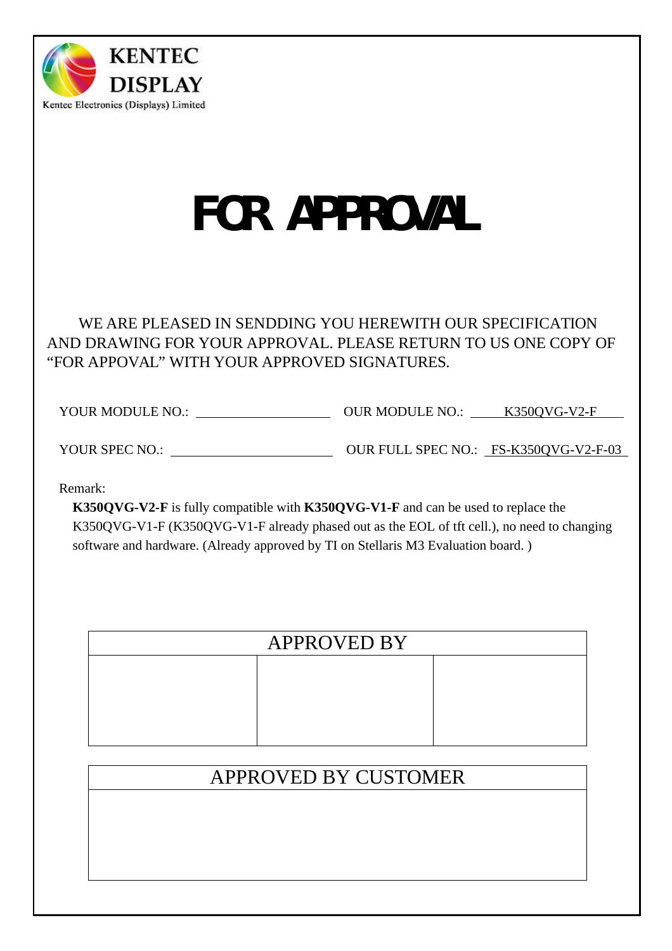

# FOR APPROVAL

# WE ARE PLEASED IN SENDDING YOU HEREWITH OUR SPECIFICATION AND DRAWING FOR YOUR APPROVAL. PLEASE RETURN TO US ONE COPY OF "FOR APPOVAL" WITH YOUR APPROVED SIGNATURES.

YOUR MODULE NO.: OUR MODULE NO.: K350QVG-V2-F

YOUR SPEC NO.:  $\qquad \qquad \text{OUR FULL SPEC NO.:} \qquad \text{FS-K350QVG-V2-F-03}$ 

Remark:

**K350QVG-V2-F** is fully compatible with **K350QVG-V1-F** and can be used to replace the K350QVG-V1-F (K350QVG-V1-F already phased out as the EOL of tft cell.), no need to changing software and hardware. (Already approved by TI on Stellaris M3 Evaluation board. )

| <b>APPROVED BY</b> |  |  |  |  |  |  |  |
|--------------------|--|--|--|--|--|--|--|
|                    |  |  |  |  |  |  |  |
|                    |  |  |  |  |  |  |  |
|                    |  |  |  |  |  |  |  |
|                    |  |  |  |  |  |  |  |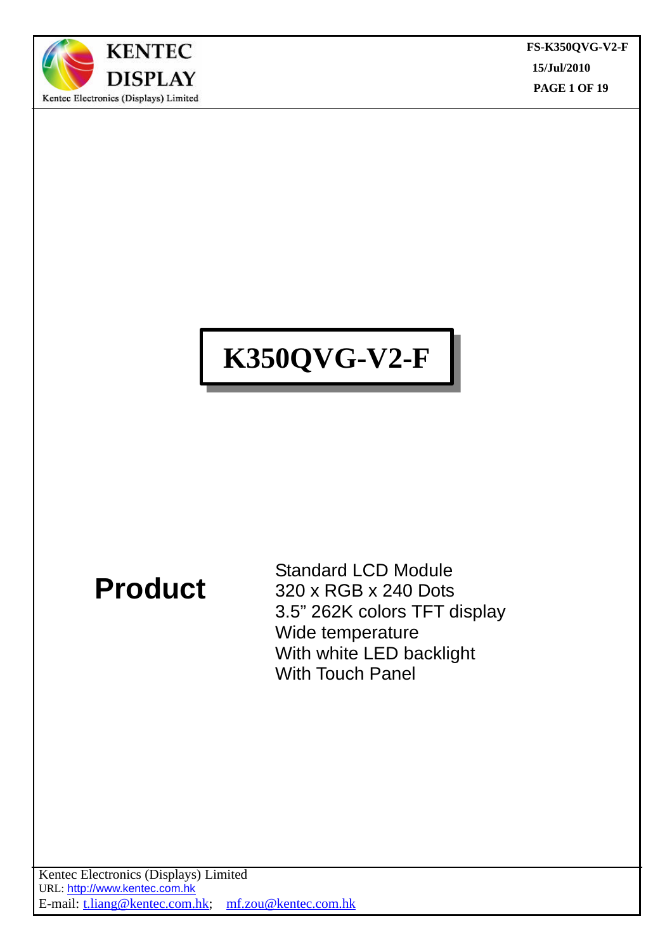

**FS-K350QVG-V2-F 15/Jul/2010 PAGE 1 OF 19**  $\overline{a}$ 

# **K350QVG-V2-F**

# **Product**

Standard LCD Module 320 x RGB x 240 Dots 3.5" 262K colors TFT display Wide temperature With white LED backlight With Touch Panel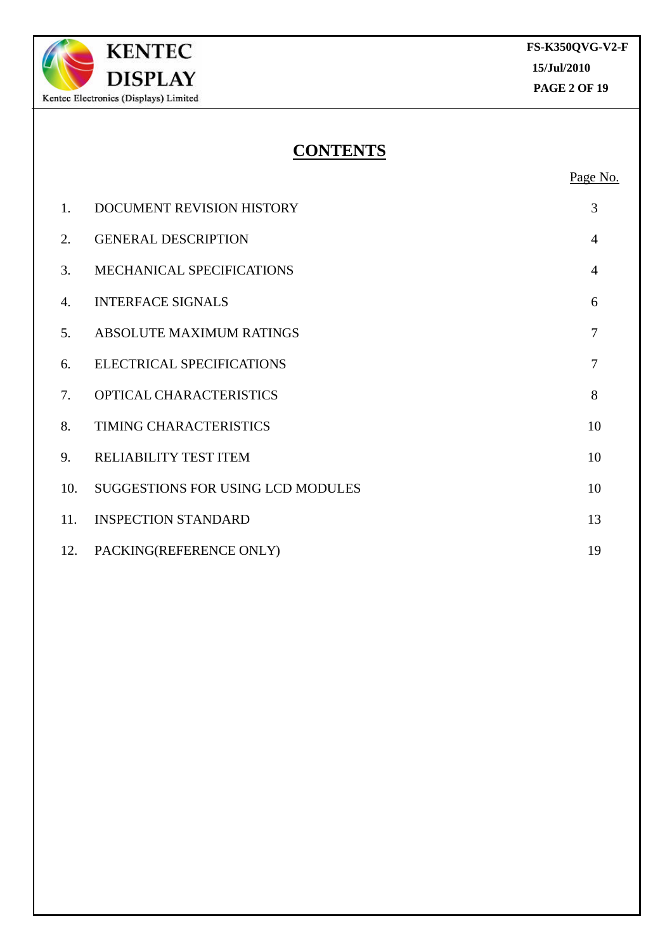

# **CONTENTS**

Page No.

| 1.  | DOCUMENT REVISION HISTORY         | 3              |
|-----|-----------------------------------|----------------|
| 2.  | <b>GENERAL DESCRIPTION</b>        | $\overline{4}$ |
| 3.  | MECHANICAL SPECIFICATIONS         | $\overline{4}$ |
| 4.  | <b>INTERFACE SIGNALS</b>          | 6              |
| 5.  | <b>ABSOLUTE MAXIMUM RATINGS</b>   | 7              |
| 6.  | <b>ELECTRICAL SPECIFICATIONS</b>  | $\overline{7}$ |
| 7.  | OPTICAL CHARACTERISTICS           | 8              |
| 8.  | TIMING CHARACTERISTICS            | 10             |
| 9.  | RELIABILITY TEST ITEM             | 10             |
| 10. | SUGGESTIONS FOR USING LCD MODULES | 10             |
| 11. | <b>INSPECTION STANDARD</b>        | 13             |
| 12. | PACKING(REFERENCE ONLY)           | 19             |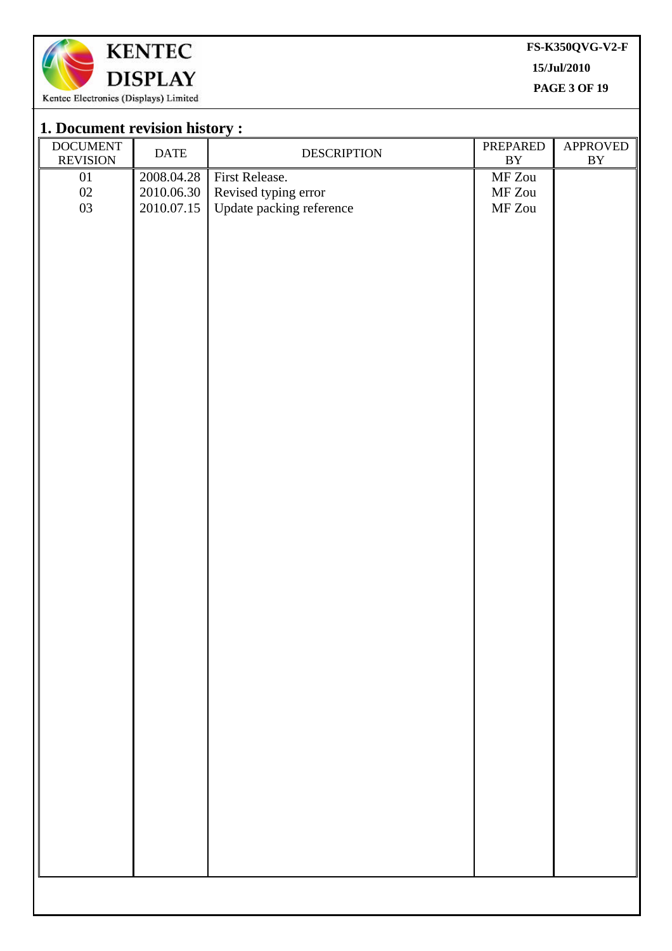

**FS-K350QVG-V2-F**

**15/Jul/2010**

**PAGE 3 OF 19**  $\overline{a}$ 

| 1. Document revision history :     |                                        |                                                                    |                                                                                            |                                    |
|------------------------------------|----------------------------------------|--------------------------------------------------------------------|--------------------------------------------------------------------------------------------|------------------------------------|
| <b>DOCUMENT</b><br><b>REVISION</b> | <b>DATE</b>                            | <b>DESCRIPTION</b>                                                 | PREPARED<br>$\mathbf{B}\mathbf{Y}$                                                         | APPROVED<br>$\mathbf{B}\mathbf{Y}$ |
| $01\,$<br>$02\,$<br>$03\,$         | 2008.04.28<br>2010.06.30<br>2010.07.15 | First Release.<br>Revised typing error<br>Update packing reference | $\operatorname{MF} \operatorname{Zou}$<br>$\operatorname{MF} \operatorname{Zou}$<br>MF Zou |                                    |
|                                    |                                        |                                                                    |                                                                                            |                                    |
|                                    |                                        |                                                                    |                                                                                            |                                    |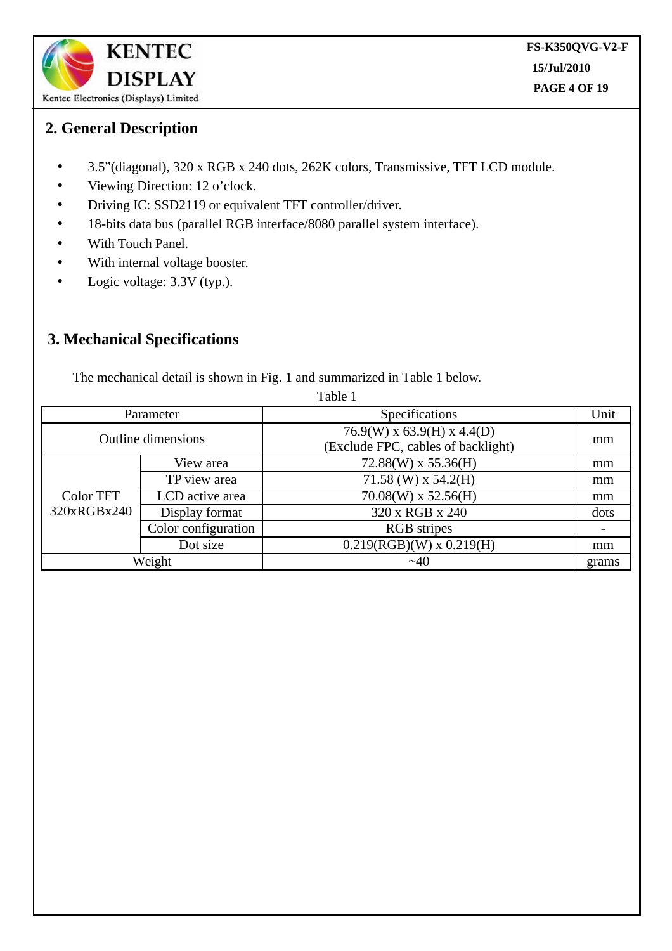

# **2. General Description**

- 3.5"(diagonal), 320 x RGB x 240 dots, 262K colors, Transmissive, TFT LCD module.
- Viewing Direction: 12 o'clock.
- Driving IC: SSD2119 or equivalent TFT controller/driver.
- 18-bits data bus (parallel RGB interface/8080 parallel system interface).
- With Touch Panel.
- With internal voltage booster.
- Logic voltage: 3.3V (typ.).

# **3. Mechanical Specifications**

The mechanical detail is shown in Fig. 1 and summarized in Table 1 below.

| Table 1                   |                     |                                                                    |       |  |  |  |
|---------------------------|---------------------|--------------------------------------------------------------------|-------|--|--|--|
| Parameter                 |                     | Specifications                                                     | Unit  |  |  |  |
| <b>Outline dimensions</b> |                     | $76.9(W)$ x 63.9(H) x 4.4(D)<br>(Exclude FPC, cables of backlight) | mm    |  |  |  |
|                           | View area           | $72.88(W)$ x 55.36(H)                                              | mm    |  |  |  |
|                           | TP view area        | 71.58 (W) x 54.2(H)                                                | mm    |  |  |  |
| Color TFT                 | LCD active area     | $70.08(W)$ x 52.56(H)                                              | mm    |  |  |  |
| 320xRGBx240               | Display format      | 320 x RGB x 240                                                    | dots  |  |  |  |
|                           | Color configuration | <b>RGB</b> stripes                                                 |       |  |  |  |
|                           | Dot size            | $0.219(RGB)(W)$ x $0.219(H)$                                       | mm    |  |  |  |
|                           | Weight              | ~140                                                               | grams |  |  |  |

 $T<sub>1</sub>$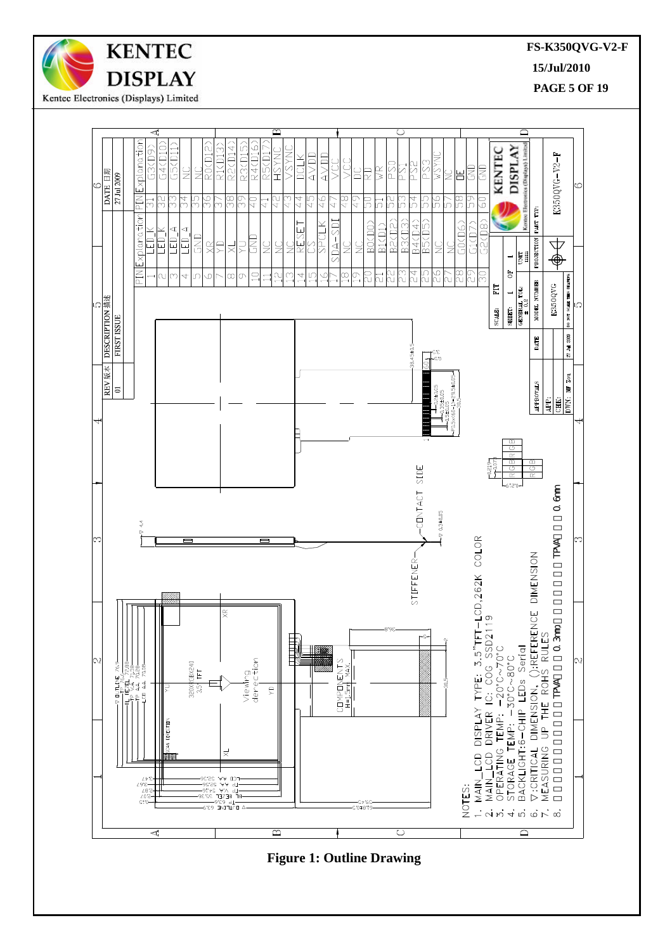



**Figure 1: Outline Drawing**

**FS-K350QVG-V2-F**

**15/Jul/2010**

**PAGE 5 OF 19**  $\overline{a}$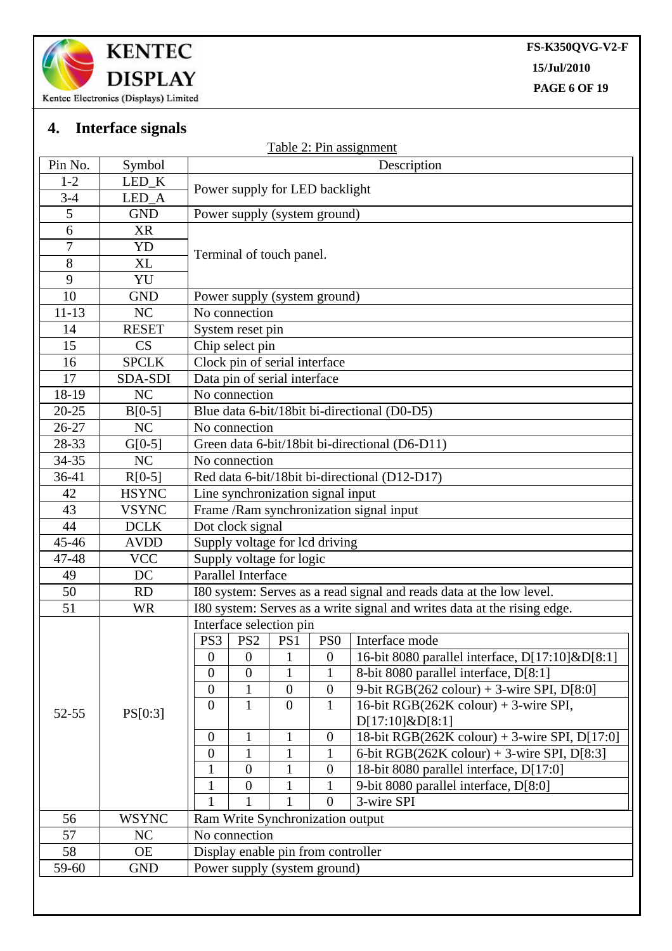

**FS-K350QVG-V2-F 15/Jul/2010**

**PAGE 6 OF 19**  $\overline{a}$ 

# **4. Interface signals**

|                |              |                                              |                                               |                  | Table 2: Pin assignment                                                  |  |  |
|----------------|--------------|----------------------------------------------|-----------------------------------------------|------------------|--------------------------------------------------------------------------|--|--|
| Pin No.        | Symbol       |                                              |                                               |                  | Description                                                              |  |  |
| $1 - 2$        | LED_K        |                                              |                                               |                  |                                                                          |  |  |
| $3-4$          | LED_A        | Power supply for LED backlight               |                                               |                  |                                                                          |  |  |
| 5              | <b>GND</b>   | Power supply (system ground)                 |                                               |                  |                                                                          |  |  |
| 6              | <b>XR</b>    |                                              |                                               |                  |                                                                          |  |  |
| $\overline{7}$ | YD           | Terminal of touch panel.                     |                                               |                  |                                                                          |  |  |
| $8\,$          | XL           |                                              |                                               |                  |                                                                          |  |  |
| 9              | YU           |                                              |                                               |                  |                                                                          |  |  |
| 10             | <b>GND</b>   | Power supply (system ground)                 |                                               |                  |                                                                          |  |  |
| $11 - 13$      | NC           | No connection                                |                                               |                  |                                                                          |  |  |
| 14             | <b>RESET</b> | System reset pin                             |                                               |                  |                                                                          |  |  |
| 15             | CS           | Chip select pin                              |                                               |                  |                                                                          |  |  |
| 16             | <b>SPCLK</b> | Clock pin of serial interface                |                                               |                  |                                                                          |  |  |
| 17             | SDA-SDI      | Data pin of serial interface                 |                                               |                  |                                                                          |  |  |
| 18-19          | NC           | No connection                                |                                               |                  |                                                                          |  |  |
| $20 - 25$      | $B[0-5]$     | Blue data 6-bit/18bit bi-directional (D0-D5) |                                               |                  |                                                                          |  |  |
| 26-27          | NC           | No connection                                |                                               |                  |                                                                          |  |  |
| 28-33          | $G[0-5]$     |                                              |                                               |                  | Green data 6-bit/18bit bi-directional (D6-D11)                           |  |  |
| $34 - 35$      | NC           | No connection                                |                                               |                  |                                                                          |  |  |
| 36-41          | $R[0-5]$     |                                              | Red data 6-bit/18bit bi-directional (D12-D17) |                  |                                                                          |  |  |
| 42             | <b>HSYNC</b> | Line synchronization signal input            |                                               |                  |                                                                          |  |  |
| 43             | <b>VSYNC</b> | Frame /Ram synchronization signal input      |                                               |                  |                                                                          |  |  |
| 44             | <b>DCLK</b>  | Dot clock signal                             |                                               |                  |                                                                          |  |  |
| 45-46          | <b>AVDD</b>  | Supply voltage for lcd driving               |                                               |                  |                                                                          |  |  |
| 47-48          | <b>VCC</b>   | Supply voltage for logic                     |                                               |                  |                                                                          |  |  |
| 49             | DC           | Parallel Interface                           |                                               |                  |                                                                          |  |  |
| 50             | RD           |                                              |                                               |                  | I80 system: Serves as a read signal and reads data at the low level.     |  |  |
| 51             | <b>WR</b>    |                                              |                                               |                  | I80 system: Serves as a write signal and writes data at the rising edge. |  |  |
|                |              | Interface selection pin                      |                                               |                  |                                                                          |  |  |
|                |              | PS3<br>PS <sub>2</sub>                       | PS1                                           | PS <sub>0</sub>  | Interface mode                                                           |  |  |
|                |              | $\overline{0}$<br>$\overline{0}$             | $\mathbf{1}$                                  | $\overline{0}$   | 16-bit 8080 parallel interface, D[17:10]&D[8:1]                          |  |  |
|                |              | $\overline{0}$<br>$\overline{0}$             | 1                                             |                  | 8-bit 8080 parallel interface, D[8:1]                                    |  |  |
|                |              | $\overline{0}$<br>$\mathbf{1}$               | $\boldsymbol{0}$                              | $\mathbf{0}$     | 9-bit RGB $(262 \text{ colour}) + 3$ -wire SPI, D[8:0]                   |  |  |
|                |              | $\mathbf{1}$<br>$\overline{0}$               | $\overline{0}$                                | $\mathbf{1}$     | 16-bit RGB $(262K \text{ colour}) + 3$ -wire SPI,                        |  |  |
| $52 - 55$      | PS[0:3]      |                                              |                                               |                  | $D[17:10]\&D[8:1]$                                                       |  |  |
|                |              | $\boldsymbol{0}$<br>$\mathbf{1}$             | 1                                             | $\boldsymbol{0}$ | 18-bit RGB $(262K \text{ colour}) + 3$ -wire SPI, D[17:0]                |  |  |
|                |              | $\mathbf{1}$<br>$\overline{0}$               | $\mathbf{1}$                                  | $\mathbf{1}$     | 6-bit RGB $(262K \text{ colour}) + 3$ -wire SPI, D[8:3]                  |  |  |
|                |              | $\boldsymbol{0}$<br>1                        | $\mathbf{1}$                                  | $\boldsymbol{0}$ | 18-bit 8080 parallel interface, D[17:0]                                  |  |  |
|                |              | $\boldsymbol{0}$<br>1                        | 1                                             | 1                | 9-bit 8080 parallel interface, D[8:0]                                    |  |  |
|                |              | 1                                            | 1                                             | $\overline{0}$   | 3-wire SPI                                                               |  |  |
| 56             | <b>WSYNC</b> | Ram Write Synchronization output             |                                               |                  |                                                                          |  |  |
| 57             | NC           | No connection                                |                                               |                  |                                                                          |  |  |
| 58             | <b>OE</b>    | Display enable pin from controller           |                                               |                  |                                                                          |  |  |
| 59-60          | <b>GND</b>   | Power supply (system ground)                 |                                               |                  |                                                                          |  |  |
|                |              |                                              |                                               |                  |                                                                          |  |  |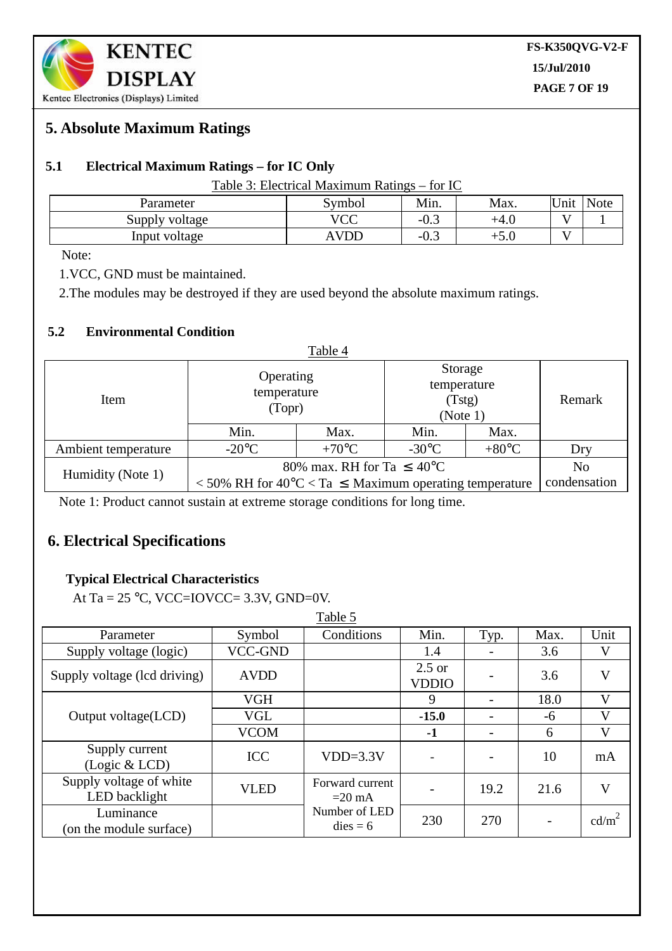# **5. Absolute Maximum Ratings**

#### **5.1 Electrical Maximum Ratings – for IC Only**

| Parameter      | Symbol                     | Min.         | Max.   | Unit | <b>Note</b> |
|----------------|----------------------------|--------------|--------|------|-------------|
| Supply voltage | $\overline{100}$<br>$\sim$ | $-U.$        | $+4.0$ |      |             |
| Input voltage  | <b>AVDD</b>                | $-U_{\star}$ | $+J.$  |      |             |

Note:

1.VCC, GND must be maintained.

2.The modules may be destroyed if they are used beyond the absolute maximum ratings.

#### **5.2 Environmental Condition**

| Table 4             |                                                                                                                        |                                    |                 |                                                           |              |  |  |
|---------------------|------------------------------------------------------------------------------------------------------------------------|------------------------------------|-----------------|-----------------------------------------------------------|--------------|--|--|
| Item                |                                                                                                                        | Operating<br>temperature<br>(Topr) |                 | Storage<br>temperature<br>(T <sub>stg</sub> )<br>(Note 1) |              |  |  |
|                     | Min.                                                                                                                   | Max.                               | Min.            | Max.                                                      |              |  |  |
| Ambient temperature | $-20^{\circ}$ C                                                                                                        | $+70^{\circ}C$                     | $-30^{\circ}$ C | $+80^{\circ}$ C                                           | Dry          |  |  |
|                     | 80% max. RH for Ta $\leq 40^{\circ}$ C                                                                                 | No                                 |                 |                                                           |              |  |  |
| Humidity (Note 1)   | $\langle 50\% \text{ RH}$ for $40\degree \text{C} \langle \text{Ta} \rangle \leq \text{Maximum operating temperature}$ |                                    |                 |                                                           | condensation |  |  |

Note 1: Product cannot sustain at extreme storage conditions for long time.

# **6. Electrical Specifications**

#### **Typical Electrical Characteristics**

At Ta =  $25$  °C, VCC=IOVCC= 3.3V, GND=0V.

|                                          |                | Table 5                     |                          |      |                          |                   |
|------------------------------------------|----------------|-----------------------------|--------------------------|------|--------------------------|-------------------|
| Parameter                                | Symbol         | Conditions                  | Min.                     | Typ. | Max.                     | Unit              |
| Supply voltage (logic)                   | <b>VCC-GND</b> |                             | 1.4                      |      | 3.6                      | $\mathbf{V}$      |
| Supply voltage (lcd driving)             | <b>AVDD</b>    |                             | $2.5$ or<br><b>VDDIO</b> |      | 3.6                      | V                 |
|                                          | <b>VGH</b>     |                             | 9                        |      | 18.0                     | V                 |
| Output voltage(LCD)                      | VGL            |                             | $-15.0$                  |      | -6                       | $\mathbf{V}$      |
|                                          | <b>VCOM</b>    |                             | $-1$                     |      | 6                        | $\mathbf{V}$      |
| Supply current<br>(Logic & LCD)          | <b>ICC</b>     | $VDD=3.3V$                  | $\qquad \qquad -$        |      | 10                       | mA                |
| Supply voltage of white<br>LED backlight | <b>VLED</b>    | Forward current<br>$=20$ mA |                          | 19.2 | 21.6                     | V                 |
| Luminance<br>(on the module surface)     |                | Number of LED<br>$dies = 6$ | 230                      | 270  | $\overline{\phantom{a}}$ | cd/m <sup>2</sup> |

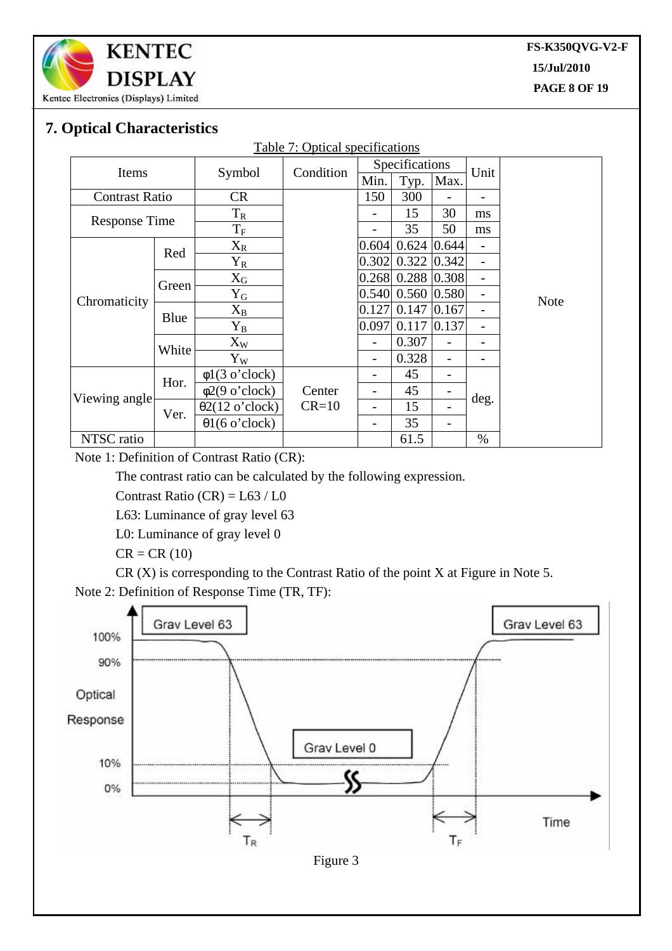

**FS-K350QVG-V2-F 15/Jul/2010 PAGE 8 OF 19**

 $\overline{a}$ 

# **7. Optical Characteristics**

| <b>Table 7: Optical specifications</b> |       |                        |           |                |                     |       |      |             |
|----------------------------------------|-------|------------------------|-----------|----------------|---------------------|-------|------|-------------|
| Items                                  |       |                        | Condition | Specifications |                     |       | Unit |             |
|                                        |       | Symbol                 |           | Min.           | Typ.                | Max.  |      |             |
| <b>Contrast Ratio</b>                  |       | <b>CR</b>              |           | 150            | 300                 |       |      |             |
| <b>Response Time</b>                   |       | $T_R$                  |           |                | 15                  | 30    | ms   |             |
|                                        |       | $\mathrm{T_{F}}$       |           |                | 35                  | 50    | ms   |             |
|                                        | Red   | $X_{R}$                |           | 0.604          | 0.624               | 0.644 | -    |             |
|                                        |       | $Y_R$                  |           | 0.302          | 0.322               | 0.342 |      |             |
|                                        | Green | $X_G$                  |           |                | $0.268$ 0.288 0.308 |       | -    |             |
| Chromaticity                           |       | ${\rm Y_G}$            |           | 0.540          | 0.560 0.580         |       | -    | <b>Note</b> |
|                                        | Blue  | $X_B$                  |           | 0.127          | 0.147               | 0.167 | -    |             |
|                                        |       | ${\rm Y_B}$            |           | 0.097          | 0.117               | 0.137 | -    |             |
|                                        | White | $X_W$                  |           | -              | 0.307               |       |      |             |
|                                        |       | $Y_W$                  |           |                | 0.328               |       |      |             |
|                                        | Hor.  | $\phi$ 1(3 o'clock)    |           |                | 45                  |       |      |             |
| Viewing angle                          |       | $\phi$ 2(9 o'clock)    | Center    |                | 45                  |       |      |             |
|                                        | Ver.  | $\theta$ 2(12 o'clock) | $CR=10$   |                | 15                  | -     | deg. |             |
|                                        |       | $\theta$ 1(6 o'clock)  |           | -              | 35                  | -     |      |             |
| NTSC ratio                             |       |                        |           |                | 61.5                |       | $\%$ |             |

Note 1: Definition of Contrast Ratio (CR):

The contrast ratio can be calculated by the following expression.

Contrast Ratio  $(CR) = L63 / L0$ 

L63: Luminance of gray level 63

L0: Luminance of gray level 0

 $CR = CR(10)$ 

CR (X) is corresponding to the Contrast Ratio of the point X at Figure in Note 5.

Note 2: Definition of Response Time (TR, TF):

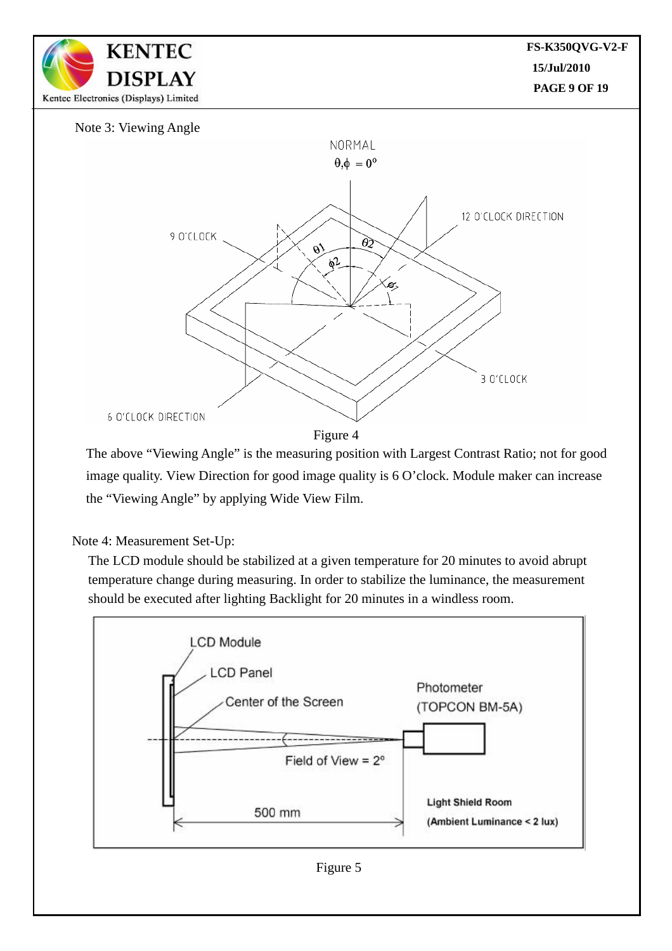

The above "Viewing Angle" is the measuring position with Largest Contrast Ratio; not for good image quality. View Direction for good image quality is 6 O'clock. Module maker can increase the "Viewing Angle" by applying Wide View Film.

#### Note 4: Measurement Set-Up:

The LCD module should be stabilized at a given temperature for 20 minutes to avoid abrupt temperature change during measuring. In order to stabilize the luminance, the measurement should be executed after lighting Backlight for 20 minutes in a windless room.

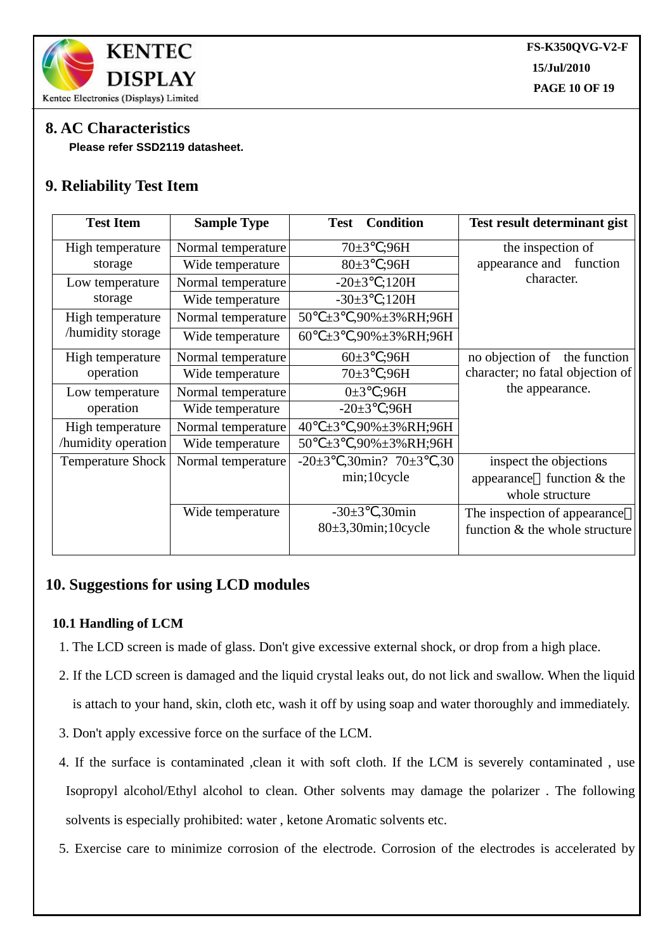

# **8. AC Characteristics**

 **Please refer SSD2119 datasheet.**

# **9. Reliability Test Item**

| <b>Test Item</b>         | <b>Sample Type</b> | <b>Condition</b><br><b>Test</b>            | <b>Test result determinant gist</b> |
|--------------------------|--------------------|--------------------------------------------|-------------------------------------|
| High temperature         | Normal temperature | $70 \pm 3$<br>;96H                         | the inspection of                   |
| storage                  | Wide temperature   | $80+3$<br>;96H                             | function<br>appearance and          |
| Low temperature          | Normal temperature | ;120H<br>$-20\pm3$                         | character.                          |
| storage                  | Wide temperature   | ;120H<br>$-30\pm3$                         |                                     |
| High temperature         | Normal temperature | 50<br>,90%±3%RH;96H<br>$\pm 3$             |                                     |
| /humidity storage        | Wide temperature   | 60<br>$\pm 3$<br>,90%±3%RH;96H             |                                     |
| High temperature         | Normal temperature | :96H<br>$60 \pm 3$                         | no objection of<br>the function     |
| operation                | Wide temperature   | $70 \pm 3$<br>;96H                         | character; no fatal objection of    |
| Low temperature          | Normal temperature | ;96H<br>$0\pm3$                            | the appearance.                     |
| operation                | Wide temperature   | $-20\pm3$<br>:96H                          |                                     |
| High temperature         | Normal temperature | 40<br>$\pm 3$<br>,90%±3%RH;96H             |                                     |
| /humidity operation      | Wide temperature   | 50<br>,90%±3%RH;96H<br>$\pm 3$             |                                     |
| <b>Temperature Shock</b> | Normal temperature | $-20\pm3$<br>$,30\text{min}?70\pm3$<br>,30 | inspect the objections              |
|                          |                    | min;10cycle                                | function & the<br>appearance        |
|                          |                    |                                            | whole structure                     |
|                          | Wide temperature   | $,30$ min<br>$-30\pm3$                     | The inspection of appearance        |
|                          |                    | $80\pm3,30$ min; 10cycle                   | function & the whole structure      |
|                          |                    |                                            |                                     |

# **10. Suggestions for using LCD modules**

#### **10.1 Handling of LCM**

- 1. The LCD screen is made of glass. Don't give excessive external shock, or drop from a high place.
- 2. If the LCD screen is damaged and the liquid crystal leaks out, do not lick and swallow. When the liquid is attach to your hand, skin, cloth etc, wash it off by using soap and water thoroughly and immediately.
- 3. Don't apply excessive force on the surface of the LCM.
- 4. If the surface is contaminated ,clean it with soft cloth. If the LCM is severely contaminated , use Isopropyl alcohol/Ethyl alcohol to clean. Other solvents may damage the polarizer . The following solvents is especially prohibited: water , ketone Aromatic solvents etc.
- 5. Exercise care to minimize corrosion of the electrode. Corrosion of the electrodes is accelerated by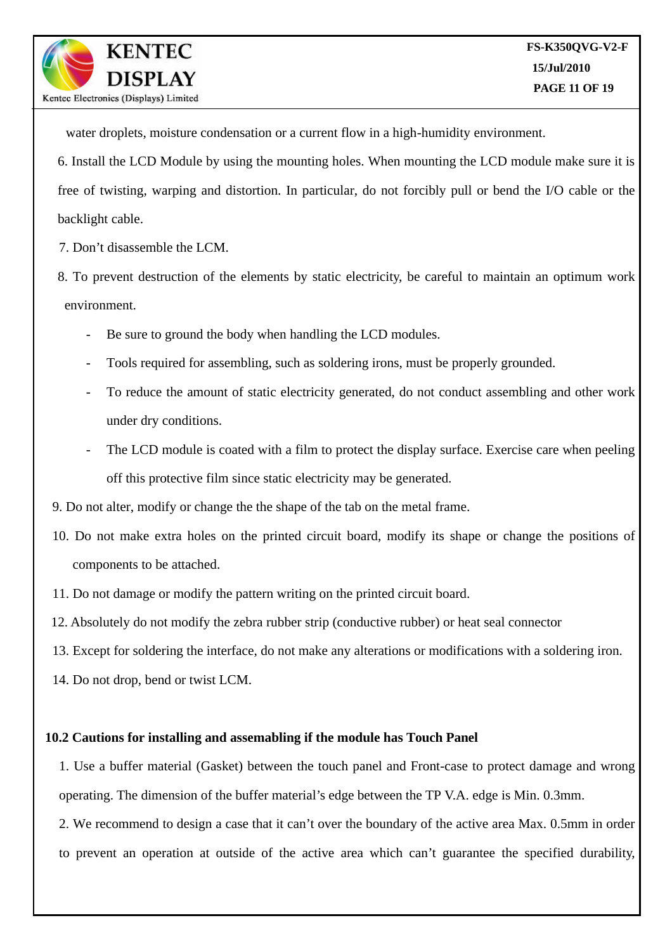water droplets, moisture condensation or a current flow in a high-humidity environment.

6. Install the LCD Module by using the mounting holes. When mounting the LCD module make sure it is free of twisting, warping and distortion. In particular, do not forcibly pull or bend the I/O cable or the backlight cable.

7. Don't disassemble the LCM.

**KENTEC** 

DISPLAY

Kentec Electronics (Displays) Limited

8. To prevent destruction of the elements by static electricity, be careful to maintain an optimum work environment.

- Be sure to ground the body when handling the LCD modules.
- Tools required for assembling, such as soldering irons, must be properly grounded.
- To reduce the amount of static electricity generated, do not conduct assembling and other work under dry conditions.
- The LCD module is coated with a film to protect the display surface. Exercise care when peeling off this protective film since static electricity may be generated.
- 9. Do not alter, modify or change the the shape of the tab on the metal frame.
- 10. Do not make extra holes on the printed circuit board, modify its shape or change the positions of components to be attached.
- 11. Do not damage or modify the pattern writing on the printed circuit board.
- 12. Absolutely do not modify the zebra rubber strip (conductive rubber) or heat seal connector
- 13. Except for soldering the interface, do not make any alterations or modifications with a soldering iron.
- 14. Do not drop, bend or twist LCM.

#### **10.2 Cautions for installing and assemabling if the module has Touch Panel**

1. Use a buffer material (Gasket) between the touch panel and Front-case to protect damage and wrong operating. The dimension of the buffer material's edge between the TP V.A. edge is Min. 0.3mm.

2. We recommend to design a case that it can't over the boundary of the active area Max. 0.5mm in order to prevent an operation at outside of the active area which can't guarantee the specified durability,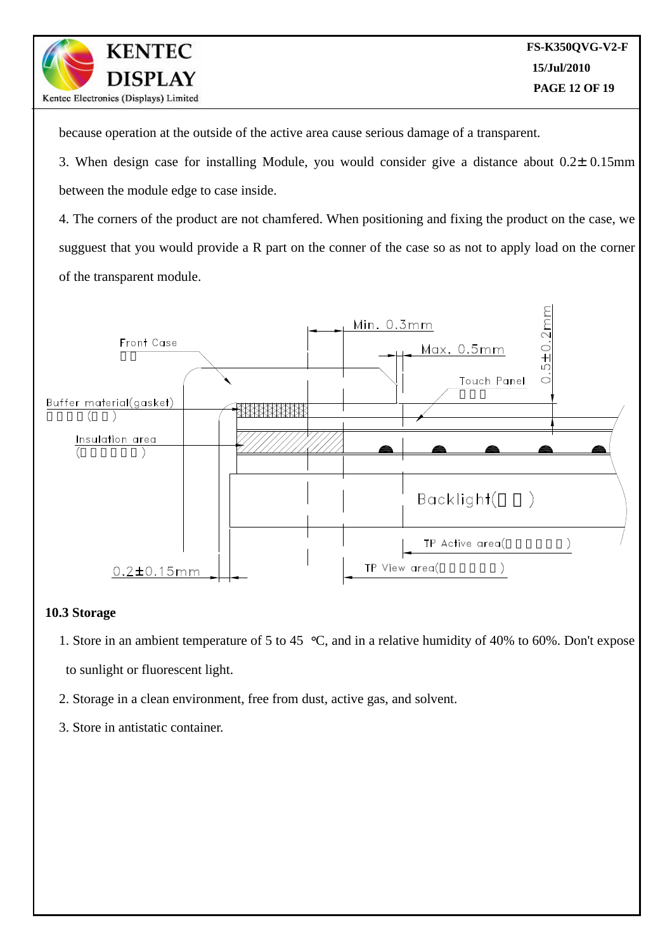because operation at the outside of the active area cause serious damage of a transparent.

3. When design case for installing Module, you would consider give a distance about  $0.2\pm0.15$ mm between the module edge to case inside.

4. The corners of the product are not chamfered. When positioning and fixing the product on the case, we sugguest that you would provide a R part on the conner of the case so as not to apply load on the corner of the transparent module.



#### **10.3 Storage**

- 1. Store in an ambient temperature of 5 to 45 °C, and in a relative humidity of 40% to 60%. Don't expose to sunlight or fluorescent light.
- 2. Storage in a clean environment, free from dust, active gas, and solvent.
- 3. Store in antistatic container.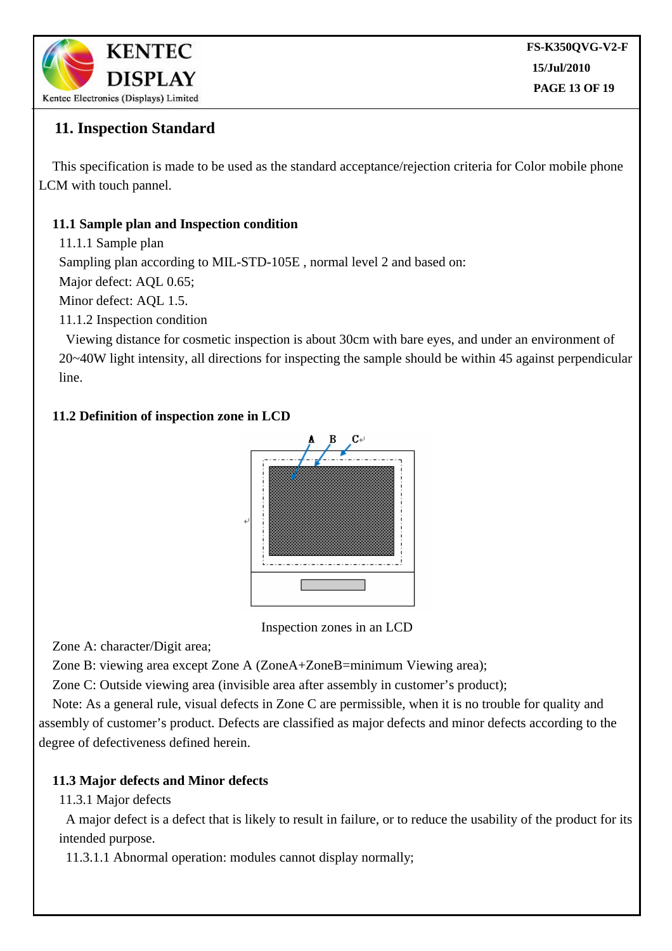

# **11. Inspection Standard**

This specification is made to be used as the standard acceptance/rejection criteria for Color mobile phone LCM with touch pannel.

### **11.1 Sample plan and Inspection condition**

11.1.1 Sample plan

Sampling plan according to MIL-STD-105E , normal level 2 and based on:

Major defect: AQL 0.65;

Minor defect: AQL 1.5.

11.1.2 Inspection condition

Viewing distance for cosmetic inspection is about 30cm with bare eyes, and under an environment of 20~40W light intensity, all directions for inspecting the sample should be within 45 against perpendicular line.

### **11.2 Definition of inspection zone in LCD**



Inspection zones in an LCD

Zone A: character/Digit area;

Zone B: viewing area except Zone A (ZoneA+ZoneB=minimum Viewing area);

Zone C: Outside viewing area (invisible area after assembly in customer's product);

Note: As a general rule, visual defects in Zone C are permissible, when it is no trouble for quality and assembly of customer's product. Defects are classified as major defects and minor defects according to the degree of defectiveness defined herein.

#### **11.3 Major defects and Minor defects**

11.3.1 Major defects

A major defect is a defect that is likely to result in failure, or to reduce the usability of the product for its intended purpose.

11.3.1.1 Abnormal operation: modules cannot display normally;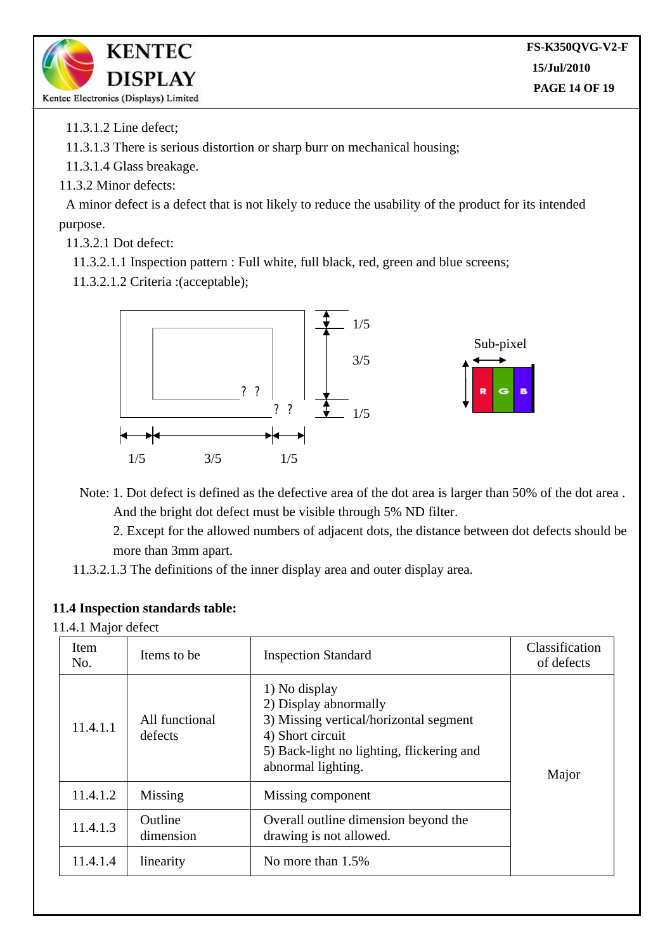

11.3.1.2 Line defect;

11.3.1.3 There is serious distortion or sharp burr on mechanical housing;

11.3.1.4 Glass breakage.

11.3.2 Minor defects:

A minor defect is a defect that is not likely to reduce the usability of the product for its intended purpose.

11.3.2.1 Dot defect:

11.3.2.1.1 Inspection pattern : Full white, full black, red, green and blue screens;

11.3.2.1.2 Criteria :(acceptable);



Note: 1. Dot defect is defined as the defective area of the dot area is larger than 50% of the dot area . And the bright dot defect must be visible through 5% ND filter.

2. Except for the allowed numbers of adjacent dots, the distance between dot defects should be more than 3mm apart.

11.3.2.1.3 The definitions of the inner display area and outer display area.

#### **11.4 Inspection standards table:**

11.4.1 Major defect

| Item<br>No. | Items to be                                                                                                                                               | <b>Inspection Standard</b>                                                                                                                                              | Classification<br>of defects |  |
|-------------|-----------------------------------------------------------------------------------------------------------------------------------------------------------|-------------------------------------------------------------------------------------------------------------------------------------------------------------------------|------------------------------|--|
| 11.4.1.1    | All functional<br>defects                                                                                                                                 | 1) No display<br>2) Display abnormally<br>3) Missing vertical/horizontal segment<br>4) Short circuit<br>5) Back-light no lighting, flickering and<br>abnormal lighting. | Major                        |  |
| 11.4.1.2    | Missing<br>Missing component<br>Outline<br>Overall outline dimension beyond the<br>dimension<br>drawing is not allowed.<br>No more than 1.5%<br>linearity |                                                                                                                                                                         |                              |  |
| 11.4.1.3    |                                                                                                                                                           |                                                                                                                                                                         |                              |  |
| 11.4.1.4    |                                                                                                                                                           |                                                                                                                                                                         |                              |  |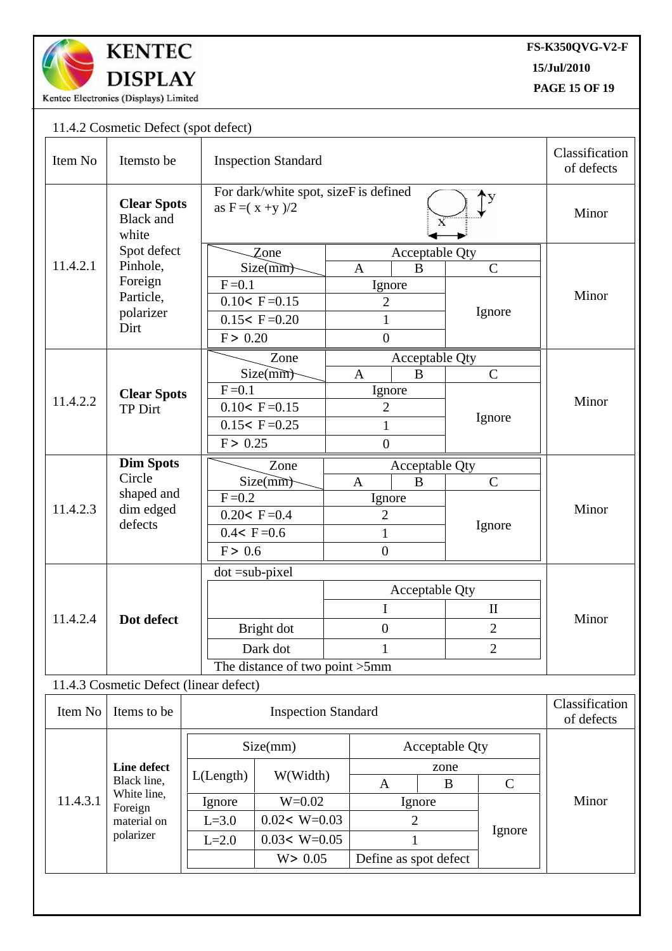

**15/Jul/2010**

**PAGE 15 OF 19**  $\overline{a}$ 

## 11.4.2 Cosmetic Defect (spot defect)

| Item No  | Itemsto be                                                                       |                 | <b>Inspection Standard</b>                                  |                  |                       |                |                |  |  |
|----------|----------------------------------------------------------------------------------|-----------------|-------------------------------------------------------------|------------------|-----------------------|----------------|----------------|--|--|
|          | <b>Clear Spots</b><br><b>Black</b> and<br>white                                  |                 | For dark/white spot, sizeF is defined<br>as $F = (x + y)/2$ |                  |                       |                |                |  |  |
|          | Spot defect                                                                      |                 | Zone                                                        |                  | Acceptable Qty        |                |                |  |  |
| 11.4.2.1 | Pinhole,                                                                         |                 | Size(mm)                                                    | $\mathbf{A}$     | B                     | $\mathcal{C}$  | Minor          |  |  |
|          | Foreign                                                                          | $F = 0.1$       |                                                             | Ignore           |                       | Ignore         |                |  |  |
|          | Particle,<br>polarizer                                                           |                 | $0.10 < F = 0.15$                                           | $\overline{2}$   |                       |                |                |  |  |
|          | Dirt                                                                             |                 | $0.15 < F = 0.20$                                           | $\mathbf{1}$     |                       |                |                |  |  |
|          |                                                                                  | F > 0.20        |                                                             | $\boldsymbol{0}$ |                       |                |                |  |  |
|          |                                                                                  |                 | Zone                                                        |                  | Acceptable Qty        |                |                |  |  |
|          |                                                                                  |                 | Size(mm)<br>B<br>$\mathbf{A}$                               |                  |                       | $\mathsf{C}$   |                |  |  |
| 11.4.2.2 | <b>Clear Spots</b>                                                               | $F = 0.1$       |                                                             | Ignore           |                       |                | Minor          |  |  |
|          | <b>TP Dirt</b>                                                                   |                 | $0.10 < F = 0.15$                                           | $\overline{2}$   |                       | Ignore         |                |  |  |
|          |                                                                                  |                 | $0.15 < F = 0.25$                                           | $\mathbf{1}$     |                       |                |                |  |  |
|          |                                                                                  | F > 0.25        |                                                             | $\overline{0}$   |                       |                |                |  |  |
|          | <b>Dim Spots</b>                                                                 |                 | Zone                                                        |                  | Acceptable Qty        |                |                |  |  |
|          | Circle                                                                           |                 | Size(mm)                                                    | $\mathbf{A}$     | $\bf{B}$              | $\overline{C}$ |                |  |  |
| 11.4.2.3 | shaped and                                                                       | $F = 0.2$       |                                                             | Ignore           |                       |                |                |  |  |
|          | dim edged<br>defects                                                             |                 | $0.20 < F = 0.4$                                            | $\overline{2}$   |                       | Ignore         | Minor          |  |  |
|          |                                                                                  | $0.4 < F = 0.6$ |                                                             | $\mathbf{1}$     |                       |                |                |  |  |
|          |                                                                                  | F > 0.6         |                                                             | $\overline{0}$   |                       |                |                |  |  |
|          |                                                                                  |                 | $dot = sub-pixel$                                           |                  |                       |                |                |  |  |
|          |                                                                                  |                 |                                                             |                  | Acceptable Qty        |                |                |  |  |
|          |                                                                                  |                 |                                                             | I                |                       | $\mathbf{I}$   |                |  |  |
| 11.4.2.4 | Dot defect                                                                       |                 | Bright dot                                                  | $\boldsymbol{0}$ |                       | $\overline{2}$ | Minor          |  |  |
|          |                                                                                  |                 | Dark dot                                                    |                  |                       | $\overline{2}$ |                |  |  |
|          |                                                                                  |                 | 1<br>The distance of two point >5mm                         |                  |                       |                |                |  |  |
|          | 11.4.3 Cosmetic Defect (linear defect)                                           |                 |                                                             |                  |                       |                |                |  |  |
|          |                                                                                  |                 |                                                             |                  |                       |                | Classification |  |  |
| Item No  | Items to be                                                                      |                 | <b>Inspection Standard</b>                                  |                  |                       |                |                |  |  |
|          | Line defect<br>Black line,<br>White line,<br>Foreign<br>material on<br>polarizer |                 |                                                             |                  |                       |                |                |  |  |
| 11.4.3.1 |                                                                                  |                 | Size(mm)                                                    |                  | <b>Acceptable Qty</b> |                |                |  |  |
|          |                                                                                  | L(Length)       | W(Width)                                                    | zone<br>B        |                       |                |                |  |  |
|          |                                                                                  |                 |                                                             | $\mathbf{A}$     |                       | $\mathsf{C}$   | Minor          |  |  |
|          |                                                                                  | Ignore          | $W = 0.02$                                                  | Ignore           |                       | Ignore         |                |  |  |
|          |                                                                                  | $L = 3.0$       | $0.02< W=0.03$                                              | $\overline{2}$   |                       |                |                |  |  |
|          |                                                                                  | $L=2.0$         | $0.03 < W=0.05$                                             | $\mathbf{1}$     |                       |                |                |  |  |
|          |                                                                                  |                 | W > 0.05                                                    |                  | Define as spot defect |                |                |  |  |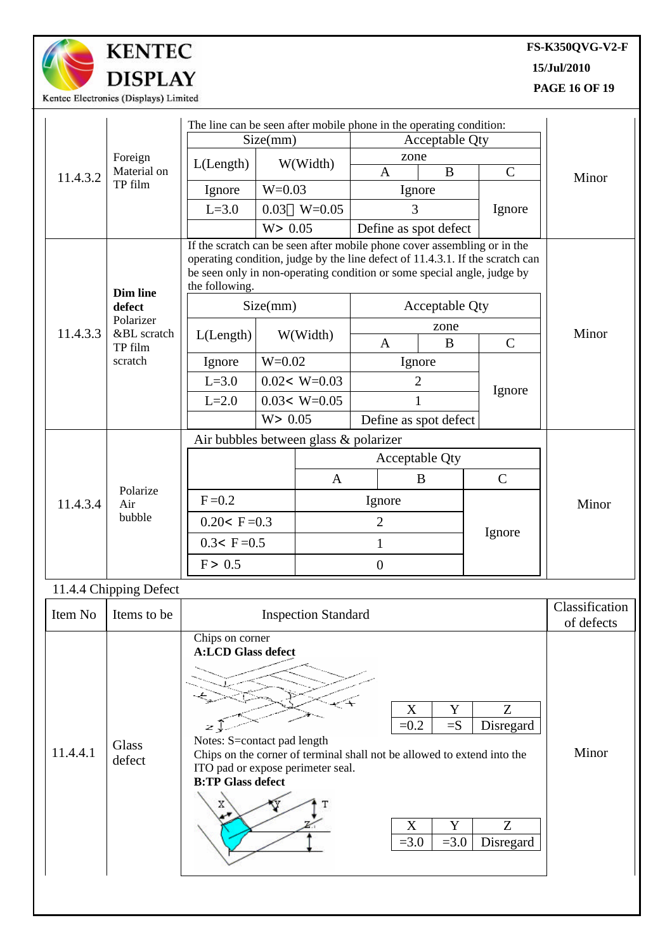

# **KENTEC DISPLAY**

### **FS-K350QVG-V2-F**

**15/Jul/2010**

**PAGE 16 OF 19**

| The line can be seen after mobile phone in the operating condition:<br>Size(mm)<br><b>Acceptable Qty</b><br>zone<br>Foreign<br>W(Width)<br>L(Length)<br>$\mathbf{B}$<br>$\mathbf C$<br>Material on<br>$\mathbf{A}$<br>11.4.3.2<br>Minor<br>TP film<br>$W=0.03$<br>Ignore<br>Ignore<br>$L=3.0$<br>0.03<br>$W = 0.05$<br>3<br>Ignore<br>W > 0.05<br>Define as spot defect<br>If the scratch can be seen after mobile phone cover assembling or in the<br>operating condition, judge by the line defect of 11.4.3.1. If the scratch can<br>be seen only in non-operating condition or some special angle, judge by<br>the following.<br><b>Dim line</b><br>Size(mm)<br>Acceptable Qty<br>defect<br>Polarizer<br>zone<br>Minor<br>11.4.3.3<br>&BL scratch<br>W(Width)<br>L(Length)<br>B<br>$\mathsf{C}$<br>$\mathbf{A}$<br>TP film<br>$W = 0.02$<br>scratch<br>Ignore<br>Ignore<br>$0.02< W=0.03$<br>$L=3.0$<br>$\overline{2}$<br>Ignore<br>$0.03 < W=0.05$<br>$L=2.0$<br>1<br>W > 0.05<br>Define as spot defect<br>Air bubbles between glass & polarizer<br>Acceptable Qty<br>$\mathsf{C}$<br>$\mathbf{A}$<br>B<br>Polarize<br>$F = 0.2$<br>Ignore<br>11.4.3.4<br>Air<br>Minor<br>bubble<br>$0.20 < F = 0.3$<br>$\overline{2}$<br>Ignore<br>$0.3 < F = 0.5$<br>$\mathbf{1}$<br>F > 0.5<br>$\boldsymbol{0}$<br>11.4.4 Chipping Defect<br>Classification<br>Item No<br><b>Inspection Standard</b><br>Items to be<br>of defects<br>Chips on corner<br><b>A:LCD Glass defect</b><br>X<br>Z<br>Y<br>$=$ S<br>$=0.2$<br>Disregard<br>لي مخ<br>Notes: S=contact pad length<br>Glass<br>11.4.4.1<br>Minor<br>Chips on the corner of terminal shall not be allowed to extend into the<br>defect<br>ITO pad or expose perimeter seal.<br><b>B:TP Glass defect</b><br>Χ<br>Y<br>Z<br>X<br>$= 3.0$<br>$=3.0$<br>Disregard |  | Kentec Electronics (Displays) Limited |  |  |  |  |  |  |  |  |
|------------------------------------------------------------------------------------------------------------------------------------------------------------------------------------------------------------------------------------------------------------------------------------------------------------------------------------------------------------------------------------------------------------------------------------------------------------------------------------------------------------------------------------------------------------------------------------------------------------------------------------------------------------------------------------------------------------------------------------------------------------------------------------------------------------------------------------------------------------------------------------------------------------------------------------------------------------------------------------------------------------------------------------------------------------------------------------------------------------------------------------------------------------------------------------------------------------------------------------------------------------------------------------------------------------------------------------------------------------------------------------------------------------------------------------------------------------------------------------------------------------------------------------------------------------------------------------------------------------------------------------------------------------------------------------------------------------------------------------------------------------------------------------------------------------|--|---------------------------------------|--|--|--|--|--|--|--|--|
|                                                                                                                                                                                                                                                                                                                                                                                                                                                                                                                                                                                                                                                                                                                                                                                                                                                                                                                                                                                                                                                                                                                                                                                                                                                                                                                                                                                                                                                                                                                                                                                                                                                                                                                                                                                                            |  |                                       |  |  |  |  |  |  |  |  |
|                                                                                                                                                                                                                                                                                                                                                                                                                                                                                                                                                                                                                                                                                                                                                                                                                                                                                                                                                                                                                                                                                                                                                                                                                                                                                                                                                                                                                                                                                                                                                                                                                                                                                                                                                                                                            |  |                                       |  |  |  |  |  |  |  |  |
|                                                                                                                                                                                                                                                                                                                                                                                                                                                                                                                                                                                                                                                                                                                                                                                                                                                                                                                                                                                                                                                                                                                                                                                                                                                                                                                                                                                                                                                                                                                                                                                                                                                                                                                                                                                                            |  |                                       |  |  |  |  |  |  |  |  |
|                                                                                                                                                                                                                                                                                                                                                                                                                                                                                                                                                                                                                                                                                                                                                                                                                                                                                                                                                                                                                                                                                                                                                                                                                                                                                                                                                                                                                                                                                                                                                                                                                                                                                                                                                                                                            |  |                                       |  |  |  |  |  |  |  |  |
|                                                                                                                                                                                                                                                                                                                                                                                                                                                                                                                                                                                                                                                                                                                                                                                                                                                                                                                                                                                                                                                                                                                                                                                                                                                                                                                                                                                                                                                                                                                                                                                                                                                                                                                                                                                                            |  |                                       |  |  |  |  |  |  |  |  |
|                                                                                                                                                                                                                                                                                                                                                                                                                                                                                                                                                                                                                                                                                                                                                                                                                                                                                                                                                                                                                                                                                                                                                                                                                                                                                                                                                                                                                                                                                                                                                                                                                                                                                                                                                                                                            |  |                                       |  |  |  |  |  |  |  |  |
|                                                                                                                                                                                                                                                                                                                                                                                                                                                                                                                                                                                                                                                                                                                                                                                                                                                                                                                                                                                                                                                                                                                                                                                                                                                                                                                                                                                                                                                                                                                                                                                                                                                                                                                                                                                                            |  |                                       |  |  |  |  |  |  |  |  |
|                                                                                                                                                                                                                                                                                                                                                                                                                                                                                                                                                                                                                                                                                                                                                                                                                                                                                                                                                                                                                                                                                                                                                                                                                                                                                                                                                                                                                                                                                                                                                                                                                                                                                                                                                                                                            |  |                                       |  |  |  |  |  |  |  |  |
|                                                                                                                                                                                                                                                                                                                                                                                                                                                                                                                                                                                                                                                                                                                                                                                                                                                                                                                                                                                                                                                                                                                                                                                                                                                                                                                                                                                                                                                                                                                                                                                                                                                                                                                                                                                                            |  |                                       |  |  |  |  |  |  |  |  |
|                                                                                                                                                                                                                                                                                                                                                                                                                                                                                                                                                                                                                                                                                                                                                                                                                                                                                                                                                                                                                                                                                                                                                                                                                                                                                                                                                                                                                                                                                                                                                                                                                                                                                                                                                                                                            |  |                                       |  |  |  |  |  |  |  |  |
|                                                                                                                                                                                                                                                                                                                                                                                                                                                                                                                                                                                                                                                                                                                                                                                                                                                                                                                                                                                                                                                                                                                                                                                                                                                                                                                                                                                                                                                                                                                                                                                                                                                                                                                                                                                                            |  |                                       |  |  |  |  |  |  |  |  |
|                                                                                                                                                                                                                                                                                                                                                                                                                                                                                                                                                                                                                                                                                                                                                                                                                                                                                                                                                                                                                                                                                                                                                                                                                                                                                                                                                                                                                                                                                                                                                                                                                                                                                                                                                                                                            |  |                                       |  |  |  |  |  |  |  |  |
|                                                                                                                                                                                                                                                                                                                                                                                                                                                                                                                                                                                                                                                                                                                                                                                                                                                                                                                                                                                                                                                                                                                                                                                                                                                                                                                                                                                                                                                                                                                                                                                                                                                                                                                                                                                                            |  |                                       |  |  |  |  |  |  |  |  |
|                                                                                                                                                                                                                                                                                                                                                                                                                                                                                                                                                                                                                                                                                                                                                                                                                                                                                                                                                                                                                                                                                                                                                                                                                                                                                                                                                                                                                                                                                                                                                                                                                                                                                                                                                                                                            |  |                                       |  |  |  |  |  |  |  |  |
|                                                                                                                                                                                                                                                                                                                                                                                                                                                                                                                                                                                                                                                                                                                                                                                                                                                                                                                                                                                                                                                                                                                                                                                                                                                                                                                                                                                                                                                                                                                                                                                                                                                                                                                                                                                                            |  |                                       |  |  |  |  |  |  |  |  |
|                                                                                                                                                                                                                                                                                                                                                                                                                                                                                                                                                                                                                                                                                                                                                                                                                                                                                                                                                                                                                                                                                                                                                                                                                                                                                                                                                                                                                                                                                                                                                                                                                                                                                                                                                                                                            |  |                                       |  |  |  |  |  |  |  |  |
|                                                                                                                                                                                                                                                                                                                                                                                                                                                                                                                                                                                                                                                                                                                                                                                                                                                                                                                                                                                                                                                                                                                                                                                                                                                                                                                                                                                                                                                                                                                                                                                                                                                                                                                                                                                                            |  |                                       |  |  |  |  |  |  |  |  |
|                                                                                                                                                                                                                                                                                                                                                                                                                                                                                                                                                                                                                                                                                                                                                                                                                                                                                                                                                                                                                                                                                                                                                                                                                                                                                                                                                                                                                                                                                                                                                                                                                                                                                                                                                                                                            |  |                                       |  |  |  |  |  |  |  |  |
|                                                                                                                                                                                                                                                                                                                                                                                                                                                                                                                                                                                                                                                                                                                                                                                                                                                                                                                                                                                                                                                                                                                                                                                                                                                                                                                                                                                                                                                                                                                                                                                                                                                                                                                                                                                                            |  |                                       |  |  |  |  |  |  |  |  |
|                                                                                                                                                                                                                                                                                                                                                                                                                                                                                                                                                                                                                                                                                                                                                                                                                                                                                                                                                                                                                                                                                                                                                                                                                                                                                                                                                                                                                                                                                                                                                                                                                                                                                                                                                                                                            |  |                                       |  |  |  |  |  |  |  |  |
|                                                                                                                                                                                                                                                                                                                                                                                                                                                                                                                                                                                                                                                                                                                                                                                                                                                                                                                                                                                                                                                                                                                                                                                                                                                                                                                                                                                                                                                                                                                                                                                                                                                                                                                                                                                                            |  |                                       |  |  |  |  |  |  |  |  |
|                                                                                                                                                                                                                                                                                                                                                                                                                                                                                                                                                                                                                                                                                                                                                                                                                                                                                                                                                                                                                                                                                                                                                                                                                                                                                                                                                                                                                                                                                                                                                                                                                                                                                                                                                                                                            |  |                                       |  |  |  |  |  |  |  |  |
|                                                                                                                                                                                                                                                                                                                                                                                                                                                                                                                                                                                                                                                                                                                                                                                                                                                                                                                                                                                                                                                                                                                                                                                                                                                                                                                                                                                                                                                                                                                                                                                                                                                                                                                                                                                                            |  |                                       |  |  |  |  |  |  |  |  |
|                                                                                                                                                                                                                                                                                                                                                                                                                                                                                                                                                                                                                                                                                                                                                                                                                                                                                                                                                                                                                                                                                                                                                                                                                                                                                                                                                                                                                                                                                                                                                                                                                                                                                                                                                                                                            |  |                                       |  |  |  |  |  |  |  |  |
|                                                                                                                                                                                                                                                                                                                                                                                                                                                                                                                                                                                                                                                                                                                                                                                                                                                                                                                                                                                                                                                                                                                                                                                                                                                                                                                                                                                                                                                                                                                                                                                                                                                                                                                                                                                                            |  |                                       |  |  |  |  |  |  |  |  |
|                                                                                                                                                                                                                                                                                                                                                                                                                                                                                                                                                                                                                                                                                                                                                                                                                                                                                                                                                                                                                                                                                                                                                                                                                                                                                                                                                                                                                                                                                                                                                                                                                                                                                                                                                                                                            |  |                                       |  |  |  |  |  |  |  |  |
|                                                                                                                                                                                                                                                                                                                                                                                                                                                                                                                                                                                                                                                                                                                                                                                                                                                                                                                                                                                                                                                                                                                                                                                                                                                                                                                                                                                                                                                                                                                                                                                                                                                                                                                                                                                                            |  |                                       |  |  |  |  |  |  |  |  |
|                                                                                                                                                                                                                                                                                                                                                                                                                                                                                                                                                                                                                                                                                                                                                                                                                                                                                                                                                                                                                                                                                                                                                                                                                                                                                                                                                                                                                                                                                                                                                                                                                                                                                                                                                                                                            |  |                                       |  |  |  |  |  |  |  |  |
|                                                                                                                                                                                                                                                                                                                                                                                                                                                                                                                                                                                                                                                                                                                                                                                                                                                                                                                                                                                                                                                                                                                                                                                                                                                                                                                                                                                                                                                                                                                                                                                                                                                                                                                                                                                                            |  |                                       |  |  |  |  |  |  |  |  |
|                                                                                                                                                                                                                                                                                                                                                                                                                                                                                                                                                                                                                                                                                                                                                                                                                                                                                                                                                                                                                                                                                                                                                                                                                                                                                                                                                                                                                                                                                                                                                                                                                                                                                                                                                                                                            |  |                                       |  |  |  |  |  |  |  |  |
|                                                                                                                                                                                                                                                                                                                                                                                                                                                                                                                                                                                                                                                                                                                                                                                                                                                                                                                                                                                                                                                                                                                                                                                                                                                                                                                                                                                                                                                                                                                                                                                                                                                                                                                                                                                                            |  |                                       |  |  |  |  |  |  |  |  |
|                                                                                                                                                                                                                                                                                                                                                                                                                                                                                                                                                                                                                                                                                                                                                                                                                                                                                                                                                                                                                                                                                                                                                                                                                                                                                                                                                                                                                                                                                                                                                                                                                                                                                                                                                                                                            |  |                                       |  |  |  |  |  |  |  |  |
|                                                                                                                                                                                                                                                                                                                                                                                                                                                                                                                                                                                                                                                                                                                                                                                                                                                                                                                                                                                                                                                                                                                                                                                                                                                                                                                                                                                                                                                                                                                                                                                                                                                                                                                                                                                                            |  |                                       |  |  |  |  |  |  |  |  |
|                                                                                                                                                                                                                                                                                                                                                                                                                                                                                                                                                                                                                                                                                                                                                                                                                                                                                                                                                                                                                                                                                                                                                                                                                                                                                                                                                                                                                                                                                                                                                                                                                                                                                                                                                                                                            |  |                                       |  |  |  |  |  |  |  |  |
|                                                                                                                                                                                                                                                                                                                                                                                                                                                                                                                                                                                                                                                                                                                                                                                                                                                                                                                                                                                                                                                                                                                                                                                                                                                                                                                                                                                                                                                                                                                                                                                                                                                                                                                                                                                                            |  |                                       |  |  |  |  |  |  |  |  |
|                                                                                                                                                                                                                                                                                                                                                                                                                                                                                                                                                                                                                                                                                                                                                                                                                                                                                                                                                                                                                                                                                                                                                                                                                                                                                                                                                                                                                                                                                                                                                                                                                                                                                                                                                                                                            |  |                                       |  |  |  |  |  |  |  |  |
|                                                                                                                                                                                                                                                                                                                                                                                                                                                                                                                                                                                                                                                                                                                                                                                                                                                                                                                                                                                                                                                                                                                                                                                                                                                                                                                                                                                                                                                                                                                                                                                                                                                                                                                                                                                                            |  |                                       |  |  |  |  |  |  |  |  |
|                                                                                                                                                                                                                                                                                                                                                                                                                                                                                                                                                                                                                                                                                                                                                                                                                                                                                                                                                                                                                                                                                                                                                                                                                                                                                                                                                                                                                                                                                                                                                                                                                                                                                                                                                                                                            |  |                                       |  |  |  |  |  |  |  |  |
|                                                                                                                                                                                                                                                                                                                                                                                                                                                                                                                                                                                                                                                                                                                                                                                                                                                                                                                                                                                                                                                                                                                                                                                                                                                                                                                                                                                                                                                                                                                                                                                                                                                                                                                                                                                                            |  |                                       |  |  |  |  |  |  |  |  |
|                                                                                                                                                                                                                                                                                                                                                                                                                                                                                                                                                                                                                                                                                                                                                                                                                                                                                                                                                                                                                                                                                                                                                                                                                                                                                                                                                                                                                                                                                                                                                                                                                                                                                                                                                                                                            |  |                                       |  |  |  |  |  |  |  |  |
|                                                                                                                                                                                                                                                                                                                                                                                                                                                                                                                                                                                                                                                                                                                                                                                                                                                                                                                                                                                                                                                                                                                                                                                                                                                                                                                                                                                                                                                                                                                                                                                                                                                                                                                                                                                                            |  |                                       |  |  |  |  |  |  |  |  |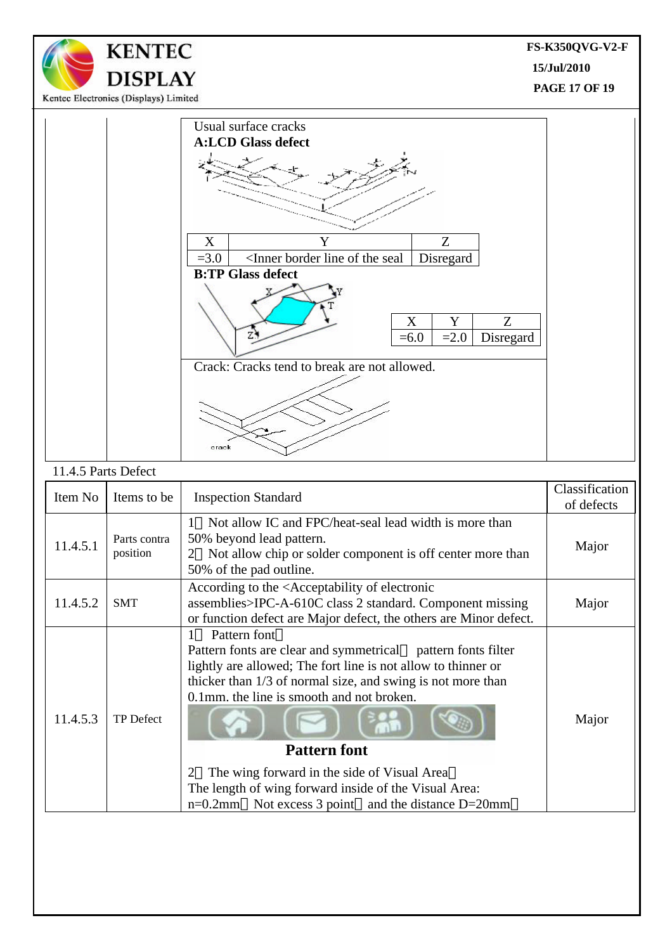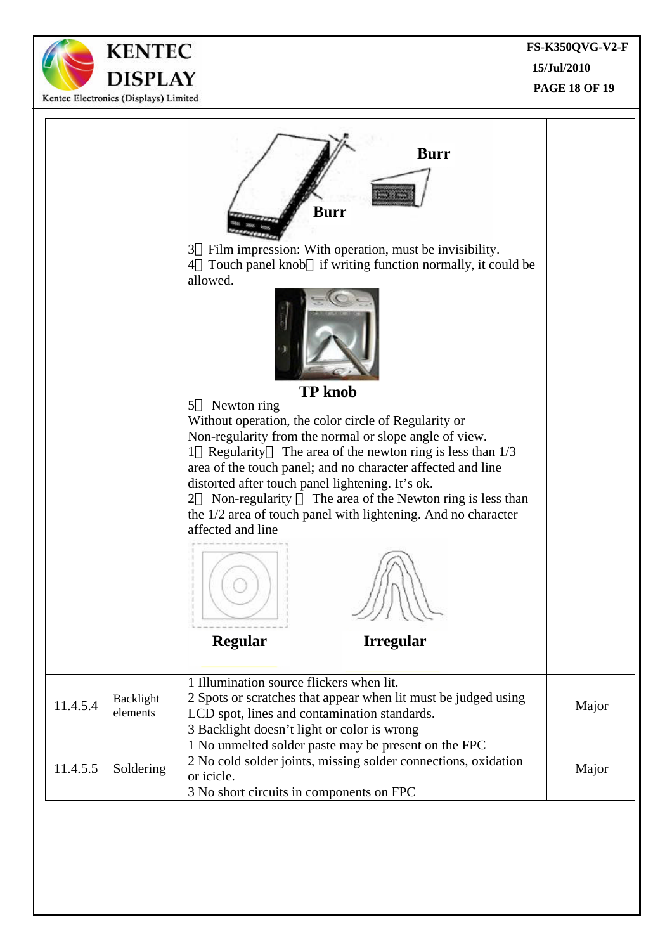**FS-K350QVG-V2-F 15/Jul/2010 PAGE 18 OF 19**



**KENTEC** 

**DISPLAY**